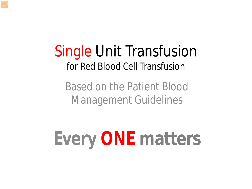#### Single Unit Transfusion for Red Blood Cell Transfusion

Based on the Patient Blood Management Guidelines

# **Every ONE matters**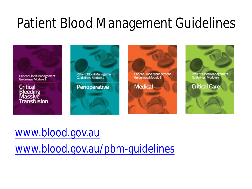### Patient Blood Management Guidelines



#### [www.blood.gov.au](http://www.blood.gov.au/)

[www.blood.gov.au/pbm-guidelines](http://www.blood.gov.au/pbm-guidelines)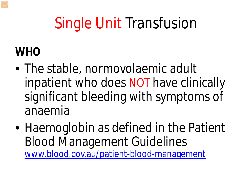## Single Unit Transfusion

#### **WHO**

- The stable, normovolaemic adult inpatient who does NOT have clinically significant bleeding with symptoms of anaemia
- Haemoglobin as defined in the Patient Blood Management Guidelines [www.blood.gov.au/patient-blood-management](http://www.blood.gov.au/patient-blood-management)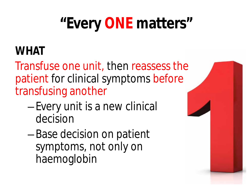## **"Every ONE matters"**

#### **WHAT**

Transfuse one unit, then reassess the patient for clinical symptoms before transfusing another

- –Every unit is a new clinical decision
- –Base decision on patient symptoms, not only on haemoglobin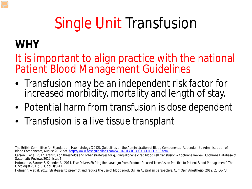## Single Unit Transfusion

#### **WHY**

It is important to align practice with the national Patient Blood Management Guidelines

- Transfusion may be an *independent risk factor* for increased morbidity, mortality and length of stay.
- Potential harm from transfusion is *dose dependent*
- Transfusion is a live tissue transplant

Hofmann, A et al. 2012. Strategies to preempt and reduce the use of blood products: an Australian perspective. *Curr Opin Anesthesiol* 2012, 25:66-73.

The British Committee for Standards in Haematology (2012). Guidelines on the Administration of Blood Components. Addendum to Administration of Blood Components, August 2012 pdf. [http://www.bcshguidelines.com/4\\_HAEMATOLOGY\\_GUIDELINES.html](http://www.bcshguidelines.com/4_HAEMATOLOGY_GUIDELINES.html)

Carson JL et al. 2012. Transfusion thresholds and other strategies for guiding allogeneic red blood cell transfusion – Cochrane Review. *Cochrane Database of Systematic Reviews* 2012: Issue4

Hofmann A, Farmer S, Shander A. 2011. Five Drivers Shifting the paradigm from Product-focused Transfusion Practice to Patient Blood Management" *The Oncologist* 2011;16(suppl 3):3-11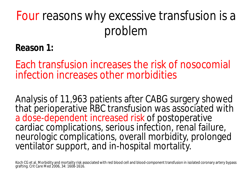#### **Reason 1:**

Each transfusion increases the risk of nosocomial infection increases other morbidities

Analysis of 11,963 patients after CABG surgery showed that perioperative RBC transfusion was associated with a dose-dependent increased risk of postoperative cardiac complications, serious infection, renal failure, neurologic complications, overall morbidity, prolonged ventilator support, and in-hospital mortality.

Koch CG et al. Morbidity and mortality risk associated with red blood cell and blood-component transfusion in isolated coronary artery bypass grafting. *Crit Care Med* 2006, 34: 1608-1616.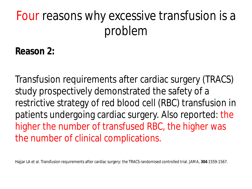**Reason 2:**

Transfusion requirements after cardiac surgery (TRACS) study prospectively demonstrated the safety of a restrictive strategy of red blood cell (RBC) transfusion in patients undergoing cardiac surgery. Also reported: the higher the number of transfused RBC, the higher was the number of clinical complications.

Hajjar LA et al. Transfusion requirements after cardiac surgery: the TRACS randomised controlled trial. *JAMA,* **304**:1559-1567.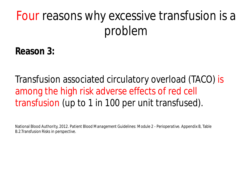**Reason 3:**

Transfusion associated circulatory overload (TACO) is among the high risk adverse effects of red cell transfusion (up to 1 in 100 per unit transfused).

National Blood Authority, 2012. *Patient Blood Management Guidelines: Module 2 - Perioperative.* Appendix B, Table B.2.Transfusion Risks in perspective.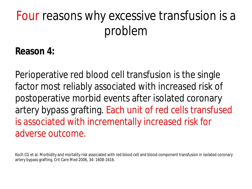**Reason 4:**

Perioperative red blood cell transfusion is the single factor most reliably associated with increased risk of postoperative morbid events after isolated coronary artery bypass grafting. Each unit of red cells transfused is associated with incrementally increased risk for adverse outcome.

Koch CG et al. Morbidity and mortality risk associated with red blood cell and blood-component transfusion in isolated coronary artery bypass grafting. *Crit Care Med* 2006, 34: 1608-1616.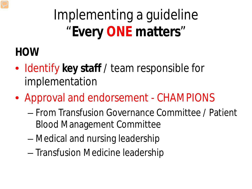Implementing a guideline "**Every ONE matters**"

#### **HOW**

- Identify **key staff** / team responsible for implementation
- Approval and endorsement CHAMPIONS
	- From Transfusion Governance Committee / Patient Blood Management Committee
	- Medical and nursing leadership
	- Transfusion Medicine leadership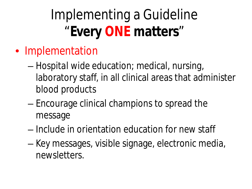### Implementing a Guideline "**Every ONE matters**"

- Implementation
	- *Hospital wide* education; medical, nursing, laboratory staff, in all clinical areas that administer blood products
	- Encourage clinical champions to spread the message
	- Include in orientation education for new staff
	- Key messages, visible signage, electronic media, newsletters.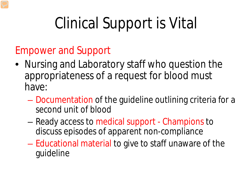## Clinical Support is Vital

#### Empower and Support

- Nursing and Laboratory staff who question the appropriateness of a request for blood must have:
	- Documentation of the guideline outlining criteria for a second unit of blood
	- Ready access to medical support Champions to discuss episodes of apparent non-compliance
	- Educational material to give to staff unaware of the guideline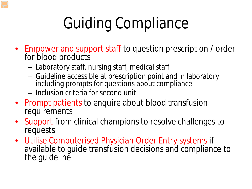## Guiding Compliance

- Empower and support staff to question prescription / order for blood products
	- Laboratory staff, nursing staff, medical staff
	- Guideline accessible at prescription point and in laboratory including prompts for questions about compliance
	- Inclusion criteria for second unit
- Prompt patients to enquire about blood transfusion requirements
- Support from clinical champions to resolve challenges to requests
- Utilise Computerised Physician Order Entry systems if available to guide transfusion decisions and compliance to the guideline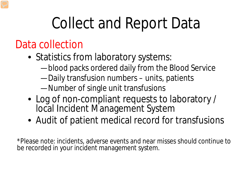### Collect and Report Data

#### Data collection

- Statistics from laboratory systems:
	- —blood packs ordered daily from the Blood Service
	- —Daily transfusion numbers units, patients
	- —Number of single unit transfusions
- Log of non-compliant requests to laboratory / local Incident Management System
- Audit of patient medical record for transfusions

\*Please note: incidents, adverse events and near misses should continue to be recorded in your incident management system.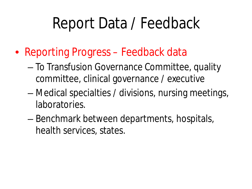### Report Data / Feedback

- Reporting Progress Feedback data
	- To Transfusion Governance Committee, quality committee, clinical governance / executive
	- Medical specialties / divisions, nursing meetings, laboratories.
	- Benchmark between departments, hospitals, health services, states.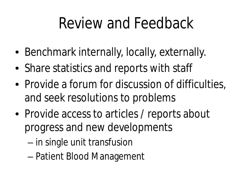### Review and Feedback

- Benchmark internally, locally, externally.
- Share statistics and reports with staff
- Provide a forum for discussion of difficulties, and seek resolutions to problems
- Provide access to articles / reports about progress and new developments
	- in single unit transfusion
	- Patient Blood Management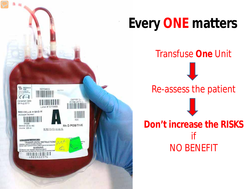

### **Every ONE matters**

Transfuse **One** Unit

I

#### Re-assess the patient

**Don't increase the RISKS** if NO BENEFIT